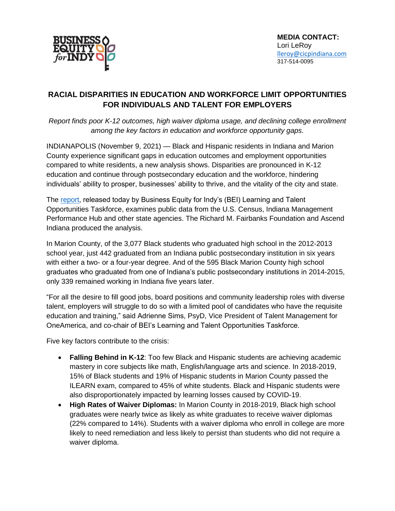

## **RACIAL DISPARITIES IN EDUCATION AND WORKFORCE LIMIT OPPORTUNITIES FOR INDIVIDUALS AND TALENT FOR EMPLOYERS**

*Report finds poor K-12 outcomes, high waiver diploma usage, and declining college enrollment among the key factors in education and workforce opportunity gaps.*

INDIANAPOLIS (November 9, 2021) — Black and Hispanic residents in Indiana and Marion County experience significant gaps in education outcomes and employment opportunities compared to white residents, a new analysis shows. Disparities are pronounced in K-12 education and continue through postsecondary education and the workforce, hindering individuals' ability to prosper, businesses' ability to thrive, and the vitality of the city and state.

The [report,](https://businessequityindy.com/wp-content/uploads/2021/11/BEI_Taskforce_Report_11.08.21_FINAL.pdf) released today by Business Equity for Indy's (BEI) Learning and Talent Opportunities Taskforce, examines public data from the U.S. Census, Indiana Management Performance Hub and other state agencies. The Richard M. Fairbanks Foundation and Ascend Indiana produced the analysis.

In Marion County, of the 3,077 Black students who graduated high school in the 2012-2013 school year, just 442 graduated from an Indiana public postsecondary institution in six years with either a two- or a four-year degree. And of the 595 Black Marion County high school graduates who graduated from one of Indiana's public postsecondary institutions in 2014-2015, only 339 remained working in Indiana five years later.

"For all the desire to fill good jobs, board positions and community leadership roles with diverse talent, employers will struggle to do so with a limited pool of candidates who have the requisite education and training," said Adrienne Sims, PsyD, Vice President of Talent Management for OneAmerica, and co-chair of BEI's Learning and Talent Opportunities Taskforce.

Five key factors contribute to the crisis:

- **Falling Behind in K-12**: Too few Black and Hispanic students are achieving academic mastery in core subjects like math, English/language arts and science. In 2018-2019, 15% of Black students and 19% of Hispanic students in Marion County passed the ILEARN exam, compared to 45% of white students. Black and Hispanic students were also disproportionately impacted by learning losses caused by COVID-19.
- **High Rates of Waiver Diplomas:** In Marion County in 2018-2019, Black high school graduates were nearly twice as likely as white graduates to receive waiver diplomas (22% compared to 14%). Students with a waiver diploma who enroll in college are more likely to need remediation and less likely to persist than students who did not require a waiver diploma.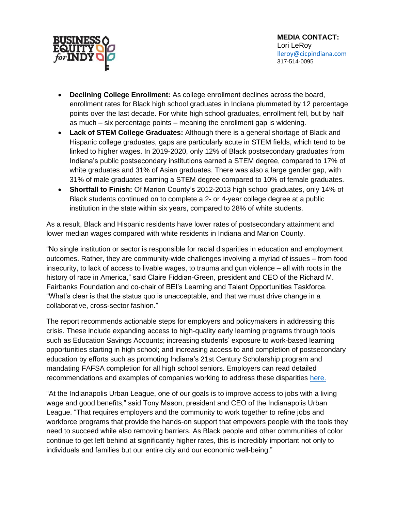

- **Declining College Enrollment:** As college enrollment declines across the board, enrollment rates for Black high school graduates in Indiana plummeted by 12 percentage points over the last decade. For white high school graduates, enrollment fell, but by half as much – six percentage points – meaning the enrollment gap is widening.
- **Lack of STEM College Graduates:** Although there is a general shortage of Black and Hispanic college graduates, gaps are particularly acute in STEM fields, which tend to be linked to higher wages. In 2019-2020, only 12% of Black postsecondary graduates from Indiana's public postsecondary institutions earned a STEM degree, compared to 17% of white graduates and 31% of Asian graduates. There was also a large gender gap, with 31% of male graduates earning a STEM degree compared to 10% of female graduates.
- **Shortfall to Finish:** Of Marion County's 2012-2013 high school graduates, only 14% of Black students continued on to complete a 2- or 4-year college degree at a public institution in the state within six years, compared to 28% of white students.

As a result, Black and Hispanic residents have lower rates of postsecondary attainment and lower median wages compared with white residents in Indiana and Marion County.

"No single institution or sector is responsible for racial disparities in education and employment outcomes. Rather, they are community-wide challenges involving a myriad of issues – from food insecurity, to lack of access to livable wages, to trauma and gun violence – all with roots in the history of race in America," said Claire Fiddian-Green, president and CEO of the Richard M. Fairbanks Foundation and co-chair of BEI's Learning and Talent Opportunities Taskforce. "What's clear is that the status quo is unacceptable, and that we must drive change in a collaborative, cross-sector fashion."

The report recommends actionable steps for employers and policymakers in addressing this crisis. These include expanding access to high-quality early learning programs through tools such as Education Savings Accounts; increasing students' exposure to work-based learning opportunities starting in high school; and increasing access to and completion of postsecondary education by efforts such as promoting Indiana's 21st Century Scholarship program and mandating FAFSA completion for all high school seniors. Employers can read detailed recommendations and examples of companies working to address these disparities [here.](https://businessequityindy.com/)

"At the Indianapolis Urban League, one of our goals is to improve access to jobs with a living wage and good benefits," said Tony Mason, president and CEO of the Indianapolis Urban League. "That requires employers and the community to work together to refine jobs and workforce programs that provide the hands-on support that empowers people with the tools they need to succeed while also removing barriers. As Black people and other communities of color continue to get left behind at significantly higher rates, this is incredibly important not only to individuals and families but our entire city and our economic well-being."